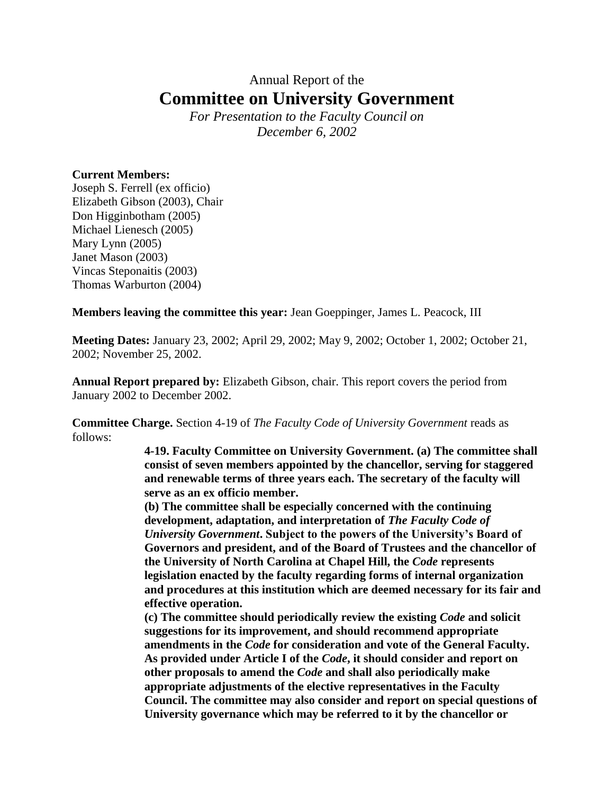## Annual Report of the **Committee on University Government**

*For Presentation to the Faculty Council on December 6, 2002*

## **Current Members:**

Joseph S. Ferrell (ex officio) Elizabeth Gibson (2003), Chair Don Higginbotham (2005) Michael Lienesch (2005) Mary Lynn (2005) Janet Mason (2003) Vincas Steponaitis (2003) Thomas Warburton (2004)

**Members leaving the committee this year:** Jean Goeppinger, James L. Peacock, III

**Meeting Dates:** January 23, 2002; April 29, 2002; May 9, 2002; October 1, 2002; October 21, 2002; November 25, 2002.

**Annual Report prepared by:** Elizabeth Gibson, chair. This report covers the period from January 2002 to December 2002.

**Committee Charge.** Section 4-19 of *The Faculty Code of University Government* reads as follows:

> **4-19. Faculty Committee on University Government. (a) The committee shall consist of seven members appointed by the chancellor, serving for staggered and renewable terms of three years each. The secretary of the faculty will serve as an ex officio member.**

> **(b) The committee shall be especially concerned with the continuing development, adaptation, and interpretation of** *The Faculty Code of University Government***. Subject to the powers of the University's Board of Governors and president, and of the Board of Trustees and the chancellor of the University of North Carolina at Chapel Hill, the** *Code* **represents legislation enacted by the faculty regarding forms of internal organization and procedures at this institution which are deemed necessary for its fair and effective operation.**

> **(c) The committee should periodically review the existing** *Code* **and solicit suggestions for its improvement, and should recommend appropriate amendments in the** *Code* **for consideration and vote of the General Faculty. As provided under Article I of the** *Code***, it should consider and report on other proposals to amend the** *Code* **and shall also periodically make appropriate adjustments of the elective representatives in the Faculty Council. The committee may also consider and report on special questions of University governance which may be referred to it by the chancellor or**